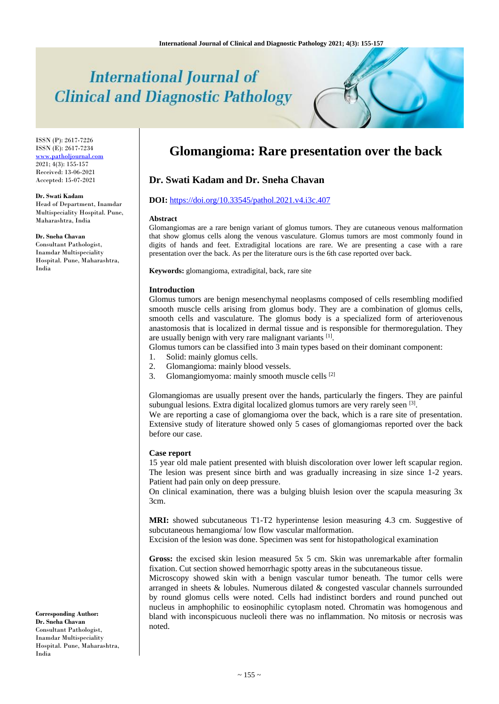# **International Journal of Clinical and Diagnostic Pathology**

ISSN (P): 2617-7226 ISSN (E): 2617-7234 [www.patholjournal.com](http://www.patholjournal.com/)  $2021; 4(3): 155-157$ Received: 13-06-2021 Accepted: 15-07-2021

#### **Dr. Swati Kadam**

Head of Department, Inamdar Multispeciality Hospital. Pune, Maharashtra, India

**Dr. Sneha Chavan**

Consultant Pathologist, Inamdar Multispeciality Hospital. Pune, Maharashtra, India

**Glomangioma: Rare presentation over the back**

# **Dr. Swati Kadam and Dr. Sneha Chavan**

## **DOI:** <https://doi.org/10.33545/pathol.2021.v4.i3c.407>

#### **Abstract**

Glomangiomas are a rare benign variant of glomus tumors. They are cutaneous venous malformation that show glomus cells along the venous vasculature. Glomus tumors are most commonly found in digits of hands and feet. Extradigital locations are rare. We are presenting a case with a rare presentation over the back. As per the literature ours is the 6th case reported over back.

**Keywords:** glomangioma, extradigital, back, rare site

#### **Introduction**

Glomus tumors are benign mesenchymal neoplasms composed of cells resembling modified smooth muscle cells arising from glomus body. They are a combination of glomus cells, smooth cells and vasculature. The glomus body is a specialized form of arteriovenous anastomosis that is localized in dermal tissue and is responsible for thermoregulation. They are usually benign with very rare malignant variants [1].

Glomus tumors can be classified into 3 main types based on their dominant component:

- 1. Solid: mainly glomus cells.
- 2. Glomangioma: mainly blood vessels.
- 3. Glomangiomyoma: mainly smooth muscle cells [2]

Glomangiomas are usually present over the hands, particularly the fingers. They are painful subungual lesions. Extra digital localized glomus tumors are very rarely seen [3].

We are reporting a case of glomangioma over the back, which is a rare site of presentation. Extensive study of literature showed only 5 cases of glomangiomas reported over the back before our case.

#### **Case report**

15 year old male patient presented with bluish discoloration over lower left scapular region. The lesion was present since birth and was gradually increasing in size since 1-2 years. Patient had pain only on deep pressure.

On clinical examination, there was a bulging bluish lesion over the scapula measuring 3x 3cm.

**MRI:** showed subcutaneous T1-T2 hyperintense lesion measuring 4.3 cm. Suggestive of subcutaneous hemangioma/ low flow vascular malformation.

Excision of the lesion was done. Specimen was sent for histopathological examination

**Gross:** the excised skin lesion measured 5x 5 cm. Skin was unremarkable after formalin fixation. Cut section showed hemorrhagic spotty areas in the subcutaneous tissue.

Microscopy showed skin with a benign vascular tumor beneath. The tumor cells were arranged in sheets & lobules. Numerous dilated & congested vascular channels surrounded by round glomus cells were noted. Cells had indistinct borders and round punched out nucleus in amphophilic to eosinophilic cytoplasm noted. Chromatin was homogenous and bland with inconspicuous nucleoli there was no inflammation. No mitosis or necrosis was noted.

**Corresponding Author: Dr. Sneha Chavan** Consultant Pathologist, Inamdar Multispeciality Hospital. Pune, Maharashtra, India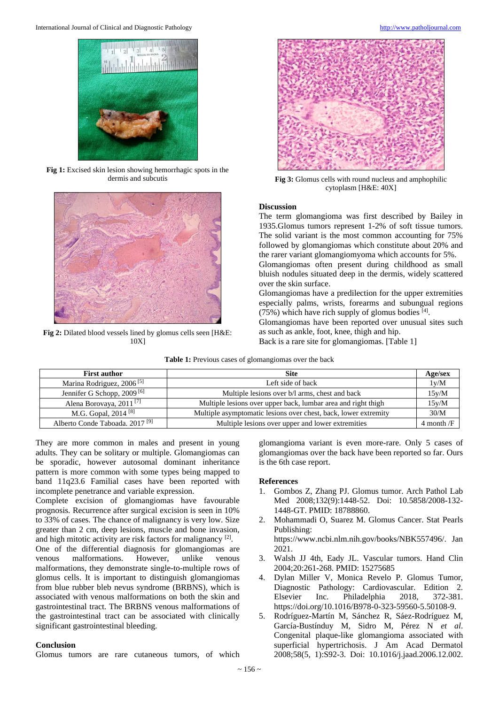

**Fig 1:** Excised skin lesion showing hemorrhagic spots in the dermis and subcutis



**Fig 2:** Dilated blood vessels lined by glomus cells seen [H&E: 10X]



**Fig 3:** Glomus cells with round nucleus and amphophilic cytoplasm [H&E: 40X]

### **Discussion**

The term glomangioma was first described by Bailey in 1935.Glomus tumors represent 1-2% of soft tissue tumors. The solid variant is the most common accounting for 75% followed by glomangiomas which constitute about 20% and the rarer variant glomangiomyoma which accounts for 5%.

Glomangiomas often present during childhood as small bluish nodules situated deep in the dermis, widely scattered over the skin surface.

Glomangiomas have a predilection for the upper extremities especially palms, wrists, forearms and subungual regions  $(75%)$  which have rich supply of glomus bodies [4].

Glomangiomas have been reported over unusual sites such as such as ankle, foot, knee, thigh and hip.

Back is a rare site for glomangiomas. [Table 1]

| <b>First author</b>                        | <b>Site</b>                                                     | Age/sex        |
|--------------------------------------------|-----------------------------------------------------------------|----------------|
| Marina Rodriguez, 2006 <sup>[5]</sup>      | Left side of back                                               | 1y/M           |
| Jennifer G Schopp, 2009 <sup>[6]</sup>     | Multiple lesions over b/l arms, chest and back                  | 15v/M          |
| Alena Borovaya, 2011 <sup>[7]</sup>        | Multiple lesions over upper back, lumbar area and right thigh   | 15y/M          |
| M.G. Gopal, 2014 <sup>[8]</sup>            | Multiple asymptomatic lesions over chest, back, lower extremity | 30/M           |
| Alberto Conde Taboada. 2017 <sup>[9]</sup> | Multiple lesions over upper and lower extremities               | $4$ month $/F$ |

They are more common in males and present in young adults. They can be solitary or multiple. Glomangiomas can be sporadic, however autosomal dominant inheritance pattern is more common with some types being mapped to band 11q23.6 Familial cases have been reported with incomplete penetrance and variable expression.

Complete excision of glomangiomas have favourable prognosis. Recurrence after surgical excision is seen in 10% to 33% of cases. The chance of malignancy is very low. Size greater than 2 cm, deep lesions, muscle and bone invasion, and high mitotic activity are risk factors for malignancy<sup>[2]</sup>.

One of the differential diagnosis for glomangiomas are venous malformations. However, unlike venous malformations, they demonstrate single-to-multiple rows of glomus cells. It is important to distinguish glomangiomas from blue rubber bleb nevus syndrome (BRBNS), which is associated with venous malformations on both the skin and gastrointestinal tract. The BRBNS venous malformations of the gastrointestinal tract can be associated with clinically significant gastrointestinal bleeding.

#### **Conclusion**

Glomus tumors are rare cutaneous tumors, of which

glomangioma variant is even more-rare. Only 5 cases of glomangiomas over the back have been reported so far. Ours is the 6th case report.

#### **References**

- 1. Gombos Z, Zhang PJ. Glomus tumor. Arch Pathol Lab Med 2008;132(9):1448-52. Doi: 10.5858/2008-132- 1448-GT. PMID: 18788860.
- 2. Mohammadi O, Suarez M. Glomus Cancer. Stat Pearls Publishing: https://www.ncbi.nlm.nih.gov/books/NBK557496/. Jan 2021.
- 3. Walsh JJ 4th, Eady JL. Vascular tumors. Hand Clin 2004;20:261-268. PMID: 15275685
- 4. Dylan Miller V, Monica Revelo P. Glomus Tumor, Diagnostic Pathology: Cardiovascular. Edition 2. Elsevier Inc. Philadelphia 2018, 372-381. https://doi.org/10.1016/B978-0-323-59560-5.50108-9.
- 5. Rodríguez-Martín M, Sánchez R, Sáez-Rodríguez M, García-Bustínduy M, Sidro M, Pérez N *et al*. Congenital plaque-like glomangioma associated with superficial hypertrichosis. J Am Acad Dermatol 2008;58(5, 1):S92-3. Doi: 10.1016/j.jaad.2006.12.002.